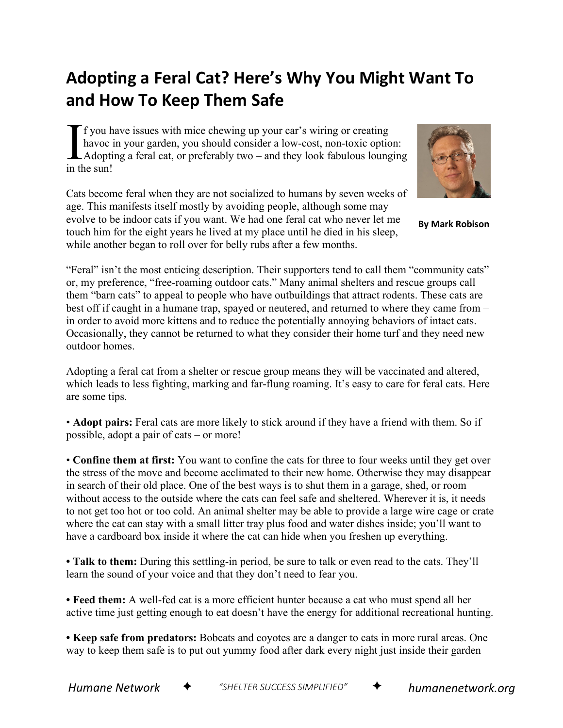## **Adopting a Feral Cat? Here's Why You Might Want To and How To Keep Them Safe**

f you have issues with mice chewing up your car's wiring or creating havoc in your garden, you should consider a low-cost, non-toxic option: Adopting a feral cat, or preferably two – and they look fabulous lounging in the sun!  $\prod_{\scriptscriptstyle{\mathsf{in}}\,\mathsf{th}}$ 

Cats become feral when they are not socialized to humans by seven weeks of age. This manifests itself mostly by avoiding people, although some may evolve to be indoor cats if you want. We had one feral cat who never let me touch him for the eight years he lived at my place until he died in his sleep, while another began to roll over for belly rubs after a few months.



**By Mark Robison**

"Feral" isn't the most enticing description. Their supporters tend to call them "community cats" or, my preference, "free-roaming outdoor cats." Many animal shelters and rescue groups call them "barn cats" to appeal to people who have outbuildings that attract rodents. These cats are best off if caught in a humane trap, spayed or neutered, and returned to where they came from – in order to avoid more kittens and to reduce the potentially annoying behaviors of intact cats. Occasionally, they cannot be returned to what they consider their home turf and they need new outdoor homes.

Adopting a feral cat from a shelter or rescue group means they will be vaccinated and altered, which leads to less fighting, marking and far-flung roaming. It's easy to care for feral cats. Here are some tips.

• **Adopt pairs:** Feral cats are more likely to stick around if they have a friend with them. So if possible, adopt a pair of cats – or more!

• **Confine them at first:** You want to confine the cats for three to four weeks until they get over the stress of the move and become acclimated to their new home. Otherwise they may disappear in search of their old place. One of the best ways is to shut them in a garage, shed, or room without access to the outside where the cats can feel safe and sheltered. Wherever it is, it needs to not get too hot or too cold. An animal shelter may be able to provide a large wire cage or crate where the cat can stay with a small litter tray plus food and water dishes inside; you'll want to have a cardboard box inside it where the cat can hide when you freshen up everything.

**• Talk to them:** During this settling-in period, be sure to talk or even read to the cats. They'll learn the sound of your voice and that they don't need to fear you.

**• Feed them:** A well-fed cat is a more efficient hunter because a cat who must spend all her active time just getting enough to eat doesn't have the energy for additional recreational hunting.

**• Keep safe from predators:** Bobcats and coyotes are a danger to cats in more rural areas. One way to keep them safe is to put out yummy food after dark every night just inside their garden